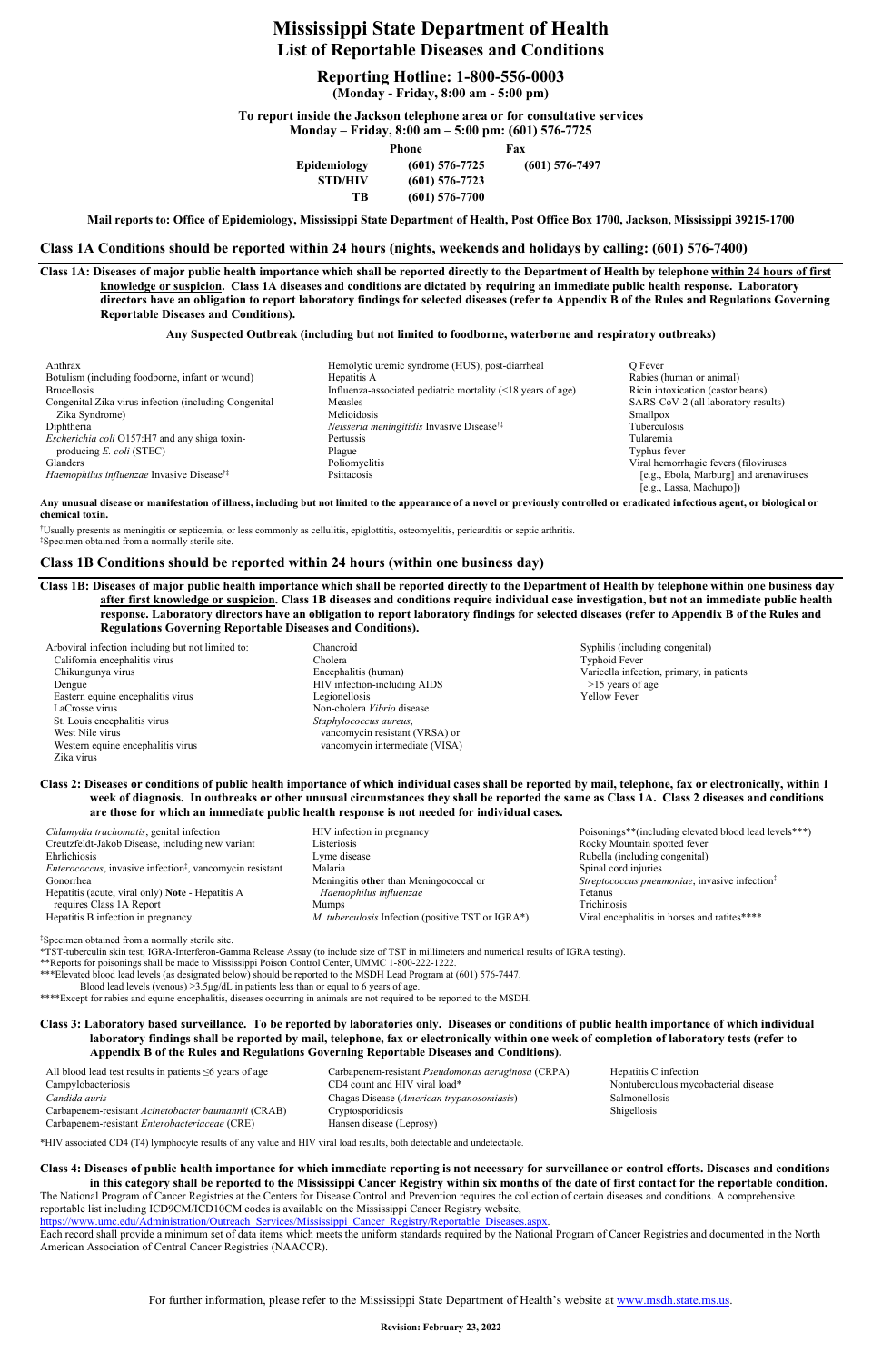**Revision: February 23, 2022** 

# **Mississippi State Department of Health List of Reportable Diseases and Conditions**

## **Reporting Hotline: 1-800-556-0003**

**(Monday - Friday, 8:00 am - 5:00 pm)** 

**To report inside the Jackson telephone area or for consultative services Monday – Friday, 8:00 am – 5:00 pm: (601) 576-7725** 

| $     -$       | Phone            | Fax |                  |
|----------------|------------------|-----|------------------|
| Epidemiology   | $(601)$ 576-7725 |     | $(601)$ 576-7497 |
| <b>STD/HIV</b> | $(601)$ 576-7723 |     |                  |
| ТR             | $(601)$ 576-7700 |     |                  |

**Mail reports to: Office of Epidemiology, Mississippi State Department of Health, Post Office Box 1700, Jackson, Mississippi 39215-1700** 

**Class 1A Conditions should be reported within 24 hours (nights, weekends and holidays by calling: (601) 576-7400)** 

**Class 1A: Diseases of major public health importance which shall be reported directly to the Department of Health by telephone within 24 hours of first knowledge or suspicion. Class 1A diseases and conditions are dictated by requiring an immediate public health response. Laboratory directors have an obligation to report laboratory findings for selected diseases (refer to Appendix B of the Rules and Regulations Governing Reportable Diseases and Conditions).** 

#### **Any Suspected Outbreak (including but not limited to foodborne, waterborne and respiratory outbreaks)**

| Anthrax                                                      |
|--------------------------------------------------------------|
| Botulism (including foodborne, infant or wound)              |
| <b>Brucellosis</b>                                           |
| Congenital Zika virus infection (including Congenital        |
| Zika Syndrome)                                               |
| Diphtheria                                                   |
| Escherichia coli O157:H7 and any shiga toxin-                |
| producing $E.$ coli (STEC)                                   |
| Glanders                                                     |
| <i>Haemophilus influenzae</i> Invasive Disease <sup>††</sup> |

Hemolytic uremic syndrome (HUS), post-diarrheal Q Fever Botulism (including formulation including formulation in Figure 3.1 and 2.1 and 2.1 and 2.1 and 2.1 and 2.1 and 2.1 and 2.1 and 2.1 and 2.1 and 2.1 and 2.1 and 2.1 and 2.1 and 2.1 and 2.1 and 2.1 and 2.1 and 2.1 and 2.1 an Influenza-associated pediatric mortality  $($  18 \text{ years of age}) Ricin intoxication (castor beans) Measles SARS-CoV-2 (all laboratory results) Zika Syndrome) Smallpox (Separation of Melioidosis Smallpox Smallpox Smallpox Smallpox *Neisseria meningitidis* Invasive Disease<sup>†‡</sup> Tuberculosis *Escherichia coli* O157:H7 and any shiga toxin- Pertussis Tularemia producing *E. coli* (STEC) **Plague** Plague Typhus fever Typhus fever Poliomyelitis **Poliomyelitis** Viral hemorrhagic fevers (filoviruses Psittacosis **Participallus influenza entity in vertice Disease** [e.g., Ebola, Marburg] and arenaviruses

[e.g., Lassa, Machupo])

| <i>Chlamydia trachomatis</i> , genital infection                             | HIV infection in pregnancy                        | Poisonings*        |
|------------------------------------------------------------------------------|---------------------------------------------------|--------------------|
| Creutzfeldt-Jakob Disease, including new variant                             | Listeriosis                                       | Rocky Mou          |
| Ehrlichiosis                                                                 | Lyme disease                                      | Rubella (ine       |
| <i>Enterococcus</i> , invasive infection <sup>‡</sup> , vancomycin resistant | Malaria                                           | Spinal cord        |
| Gonorrhea                                                                    | Meningitis other than Meningococcal or            | <i>Streptococc</i> |
| Hepatitis (acute, viral only) Note - Hepatitis A                             | Haemophilus influenzae                            | Tetanus            |
| requires Class 1A Report                                                     | <b>Mumps</b>                                      | Trichinosis        |
| Hepatitis B infection in pregnancy                                           | M. tuberculosis Infection (positive TST or IGRA*) | Viral encep        |
|                                                                              |                                                   |                    |

*Poisonings\*\**(including elevated blood lead levels\*\*\*) Rocky Mountain spotted fever Rubella (including congenital) Spinal cord injuries *Streptococcus pneumoniae*, invasive infection<sup>‡</sup> A\*) Viral encephalitis in horses and ratites\*\*\*\*

**Any unusual disease or manifestation of illness, including but not limited to the appearance of a novel or previously controlled or eradicated infectious agent, or biological or chemical toxin.** 

†Usually presents as meningitis or septicemia, or less commonly as cellulitis, epiglottitis, osteomyelitis, pericarditis or septic arthritis. ‡Specimen obtained from a normally sterile site.

### **Class 1B Conditions should be reported within 24 hours (within one business day)**

**Class 1B: Diseases of major public health importance which shall be reported directly to the Department of Health by telephone within one business day after first knowledge or suspicion. Class 1B diseases and conditions require individual case investigation, but not an immediate public health response. Laboratory directors have an obligation to report laboratory findings for selected diseases (refer to Appendix B of the Rules and Regulations Governing Reportable Diseases and Conditions).** 

**Class 4: Diseases of public health importance for which immediate reporting is not necessary for surveillance or control efforts. Diseases and conditions in this category shall be reported to the Mississippi Cancer Registry within six months of the date of first contact for the reportable condition.**  The National Program of Cancer Registries at the Centers for Disease Control and Prevention requires the collection of certain diseases and conditions. A comprehensive reportable list including ICD9CM/ICD10CM codes is available on the Mississippi Cancer Registry website, https://www.umc.edu/Administration/Outreach\_Services/Mississippi\_Cancer\_Registry/Reportable\_Diseases.aspx.

| Arboviral infection including but not limited to: | Chancroid                      | Syphilis (incl.     |
|---------------------------------------------------|--------------------------------|---------------------|
| California encephalitis virus                     | Cholera                        | Typhoid Feve        |
| Chikungunya virus                                 | Encephalitis (human)           | Varicella infe      |
| Dengue                                            | HIV infection-including AIDS   | $>15$ years o       |
| Eastern equine encephalitis virus                 | Legionellosis                  | <b>Yellow Fever</b> |
| LaCrosse virus                                    | Non-cholera Vibrio disease     |                     |
| St. Louis encephalitis virus                      | Staphylococcus aureus,         |                     |
| West Nile virus                                   | vancomycin resistant (VRSA) or |                     |
| Western equine encephalitis virus                 | vancomycin intermediate (VISA) |                     |
| Zika virus                                        |                                |                     |

## Syphilis (including congenital) Typhoid Fever Varicella infection, primary, in patients  $>15$  years of age

#### **Class 2: Diseases or conditions of public health importance of which individual cases shall be reported by mail, telephone, fax or electronically, within 1 week of diagnosis. In outbreaks or other unusual circumstances they shall be reported the same as Class 1A. Class 2 diseases and conditions are those for which an immediate public health response is not needed for individual cases.**

‡Specimen obtained from a normally sterile site.

\*TST-tuberculin skin test; IGRA-Interferon-Gamma Release Assay (to include size of TST in millimeters and numerical results of IGRA testing).

\*\*Reports for poisonings shall be made to Mississippi Poison Control Center, UMMC 1-800-222-1222.

\*\*\*Elevated blood lead levels (as designated below) should be reported to the MSDH Lead Program at (601) 576-7447.

Blood lead levels (venous)  $\geq$ 3.5µg/dL in patients less than or equal to 6 years of age.

\*\*\*\*Except for rabies and equine encephalitis, diseases occurring in animals are not required to be reported to the MSDH.

**Class 3: Laboratory based surveillance. To be reported by laboratories only. Diseases or conditions of public health importance of which individual laboratory findings shall be reported by mail, telephone, fax or electronically within one week of completion of laboratory tests (refer to Appendix B of the Rules and Regulations Governing Reportable Diseases and Conditions).** 

All blood lead test results in patients ≤6 years of age Carbapenem-resistant *Pseudomonas aeruginosa* (CRPA) Hepatitis C infection CD4 count and HIV viral load\* Nontuberculous mycobacterial disease Nontuberculous mycobacterial disease *Candida auris* Chagas Disease (*American trypanosomiasis*) Salmonellosis Carbapenem-resistant *Acinetobacter baumannii* (CRAB) Cryptosporidiosis Shigellosis Carbapenem-resistant *Enterobacteriaceae* (CRE) Hansen disease (Leprosy)

\*HIV associated CD4 (T4) lymphocyte results of any value and HIV viral load results, both detectable and undetectable.

Each record shall provide a minimum set of data items which meets the uniform standards required by the National Program of Cancer Registries and documented in the North American Association of Central Cancer Registries (NAACCR).

For further information, please refer to the Mississippi State Department of Health's website at www.msdh.state.ms.us.